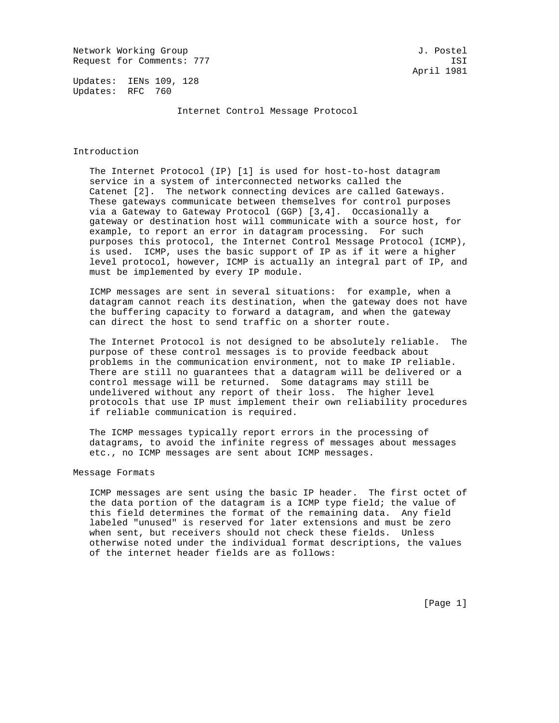Network Working Group 3. 2008 3. 2012 1. Postel Request for Comments: 777 ISI

April 1981

Updates: IENs 109, 128 Updates: RFC 760

Internet Control Message Protocol

#### Introduction

 The Internet Protocol (IP) [1] is used for host-to-host datagram service in a system of interconnected networks called the Catenet [2]. The network connecting devices are called Gateways. These gateways communicate between themselves for control purposes via a Gateway to Gateway Protocol (GGP) [3,4]. Occasionally a gateway or destination host will communicate with a source host, for example, to report an error in datagram processing. For such purposes this protocol, the Internet Control Message Protocol (ICMP), is used. ICMP, uses the basic support of IP as if it were a higher level protocol, however, ICMP is actually an integral part of IP, and must be implemented by every IP module.

 ICMP messages are sent in several situations: for example, when a datagram cannot reach its destination, when the gateway does not have the buffering capacity to forward a datagram, and when the gateway can direct the host to send traffic on a shorter route.

 The Internet Protocol is not designed to be absolutely reliable. The purpose of these control messages is to provide feedback about problems in the communication environment, not to make IP reliable. There are still no guarantees that a datagram will be delivered or a control message will be returned. Some datagrams may still be undelivered without any report of their loss. The higher level protocols that use IP must implement their own reliability procedures if reliable communication is required.

 The ICMP messages typically report errors in the processing of datagrams, to avoid the infinite regress of messages about messages etc., no ICMP messages are sent about ICMP messages.

#### Message Formats

 ICMP messages are sent using the basic IP header. The first octet of the data portion of the datagram is a ICMP type field; the value of this field determines the format of the remaining data. Any field labeled "unused" is reserved for later extensions and must be zero when sent, but receivers should not check these fields. Unless otherwise noted under the individual format descriptions, the values of the internet header fields are as follows:

[Page 1]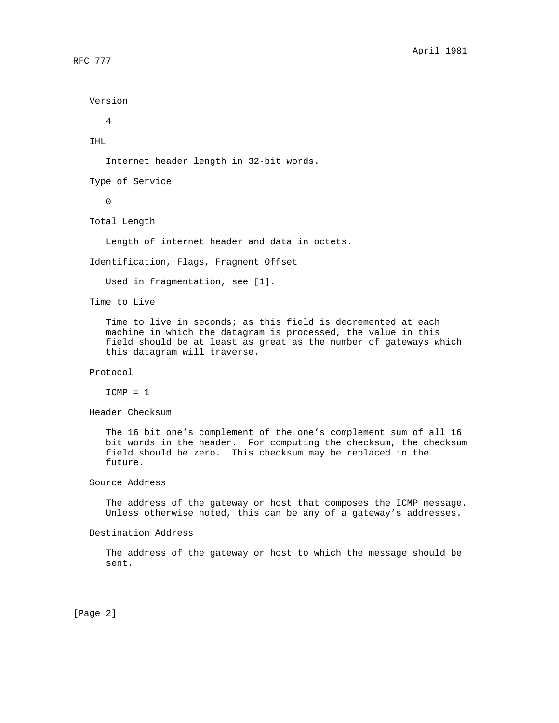```
 Version
       4
    IHL
       Internet header length in 32-bit words.
    Type of Service
       0
    Total Length
       Length of internet header and data in octets.
    Identification, Flags, Fragment Offset
       Used in fragmentation, see [1].
    Time to Live
       Time to live in seconds; as this field is decremented at each
      machine in which the datagram is processed, the value in this
       field should be at least as great as the number of gateways which
       this datagram will traverse.
   Protocol
      ICMP = 1 Header Checksum
       The 16 bit one's complement of the one's complement sum of all 16
      bit words in the header. For computing the checksum, the checksum
       field should be zero. This checksum may be replaced in the
       future.
    Source Address
       The address of the gateway or host that composes the ICMP message.
       Unless otherwise noted, this can be any of a gateway's addresses.
   Destination Address
       The address of the gateway or host to which the message should be
       sent.
[Page 2]
```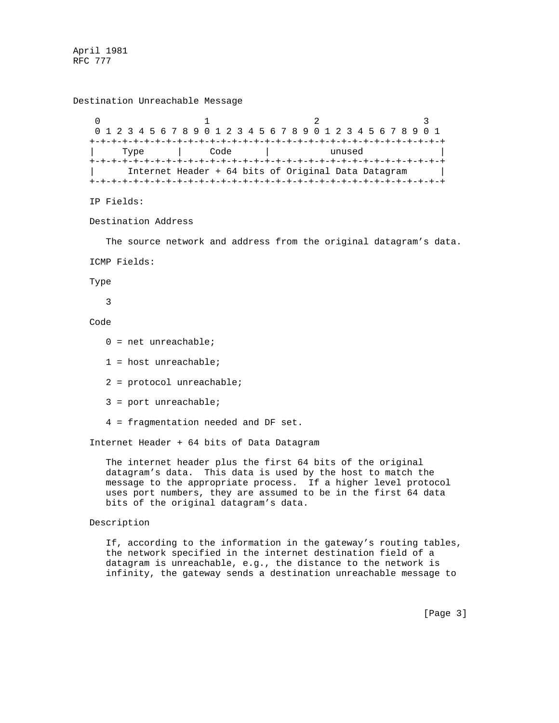Destination Unreachable Message

```
0 1 2 3
    0 1 2 3 4 5 6 7 8 9 0 1 2 3 4 5 6 7 8 9 0 1 2 3 4 5 6 7 8 9 0 1
   +-+-+-+-+-+-+-+-+-+-+-+-+-+-+-+-+-+-+-+-+-+-+-+-+-+-+-+-+-+-+-+-+
        | Type | Code | unused |
   +-+-+-+-+-+-+-+-+-+-+-+-+-+-+-+-+-+-+-+-+-+-+-+-+-+-+-+-+-+-+-+-+
       Internet Header + 64 bits of Original Data Datagram
   +-+-+-+-+-+-+-+-+-+-+-+-+-+-+-+-+-+-+-+-+-+-+-+-+-+-+-+-+-+-+-+-+
```
- IP Fields:
- Destination Address

The source network and address from the original datagram's data.

ICMP Fields:

Type

3

Code

- $0 = net$  unreachable;
- 1 = host unreachable;
- 2 = protocol unreachable;
- 3 = port unreachable;
- 4 = fragmentation needed and DF set.

Internet Header + 64 bits of Data Datagram

 The internet header plus the first 64 bits of the original datagram's data. This data is used by the host to match the message to the appropriate process. If a higher level protocol uses port numbers, they are assumed to be in the first 64 data bits of the original datagram's data.

### Description

 If, according to the information in the gateway's routing tables, the network specified in the internet destination field of a datagram is unreachable, e.g., the distance to the network is infinity, the gateway sends a destination unreachable message to

[Page 3]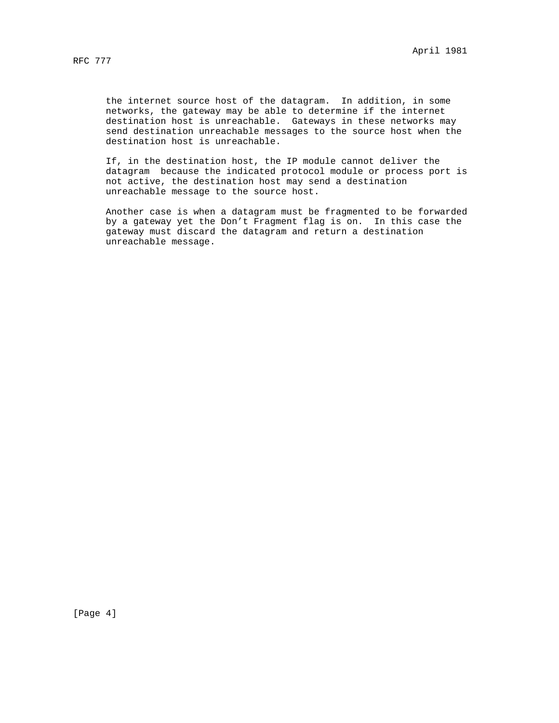the internet source host of the datagram. In addition, in some networks, the gateway may be able to determine if the internet destination host is unreachable. Gateways in these networks may send destination unreachable messages to the source host when the destination host is unreachable.

 If, in the destination host, the IP module cannot deliver the datagram because the indicated protocol module or process port is not active, the destination host may send a destination unreachable message to the source host.

 Another case is when a datagram must be fragmented to be forwarded by a gateway yet the Don't Fragment flag is on. In this case the gateway must discard the datagram and return a destination unreachable message.

[Page 4]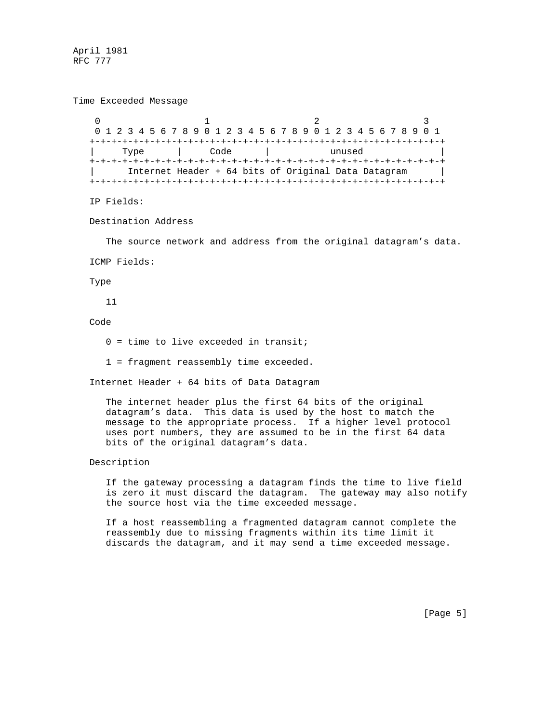Time Exceeded Message

```
0 1 2 3
   0 1 2 3 4 5 6 7 8 9 0 1 2 3 4 5 6 7 8 9 0 1 2 3 4 5 6 7 8 9 0 1
   +-+-+-+-+-+-+-+-+-+-+-+-+-+-+-+-+-+-+-+-+-+-+-+-+-+-+-+-+-+-+-+-+
        | Type | Code | unused |
   +-+-+-+-+-+-+-+-+-+-+-+-+-+-+-+-+-+-+-+-+-+-+-+-+-+-+-+-+-+-+-+-+
       Internet Header + 64 bits of Original Data Datagram
   +-+-+-+-+-+-+-+-+-+-+-+-+-+-+-+-+-+-+-+-+-+-+-+-+-+-+-+-+-+-+-+-+
```
- IP Fields:
- Destination Address

The source network and address from the original datagram's data.

ICMP Fields:

Type

11

Code

- $0 =$  time to live exceeded in transit;
- 1 = fragment reassembly time exceeded.

Internet Header + 64 bits of Data Datagram

 The internet header plus the first 64 bits of the original datagram's data. This data is used by the host to match the message to the appropriate process. If a higher level protocol uses port numbers, they are assumed to be in the first 64 data bits of the original datagram's data.

## Description

 If the gateway processing a datagram finds the time to live field is zero it must discard the datagram. The gateway may also notify the source host via the time exceeded message.

 If a host reassembling a fragmented datagram cannot complete the reassembly due to missing fragments within its time limit it discards the datagram, and it may send a time exceeded message.

[Page 5]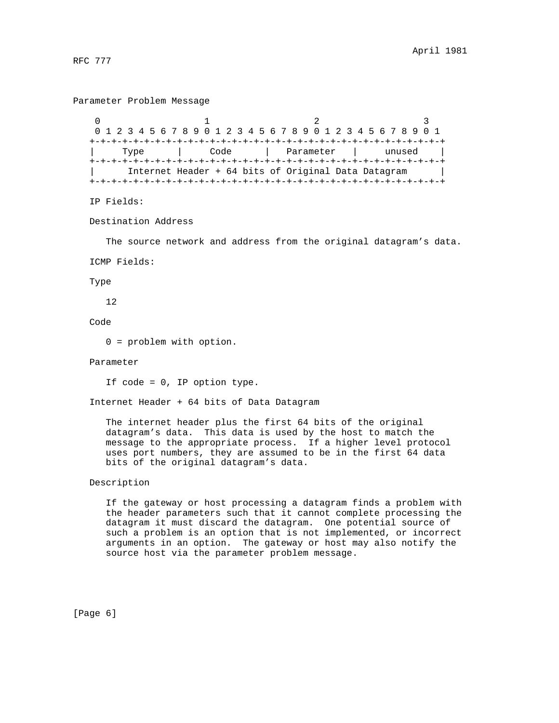April 1981

RFC 777

Parameter Problem Message

```
0 1 2 3
    0 1 2 3 4 5 6 7 8 9 0 1 2 3 4 5 6 7 8 9 0 1 2 3 4 5 6 7 8 9 0 1
   +-+-+-+-+-+-+-+-+-+-+-+-+-+-+-+-+-+-+-+-+-+-+-+-+-+-+-+-+-+-+-+-+
        | Type | Code | Parameter | unused |
   +-+-+-+-+-+-+-+-+-+-+-+-+-+-+-+-+-+-+-+-+-+-+-+-+-+-+-+-+-+-+-+-+
       Internet Header + 64 bits of Original Data Datagram
   +-+-+-+-+-+-+-+-+-+-+-+-+-+-+-+-+-+-+-+-+-+-+-+-+-+-+-+-+-+-+-+-+
```

```
 IP Fields:
```
Destination Address

The source network and address from the original datagram's data.

ICMP Fields:

Type

12

Code

```
 0 = problem with option.
```
Parameter

If code = 0, IP option type.

Internet Header + 64 bits of Data Datagram

 The internet header plus the first 64 bits of the original datagram's data. This data is used by the host to match the message to the appropriate process. If a higher level protocol uses port numbers, they are assumed to be in the first 64 data bits of the original datagram's data.

Description

 If the gateway or host processing a datagram finds a problem with the header parameters such that it cannot complete processing the datagram it must discard the datagram. One potential source of such a problem is an option that is not implemented, or incorrect arguments in an option. The gateway or host may also notify the source host via the parameter problem message.

[Page 6]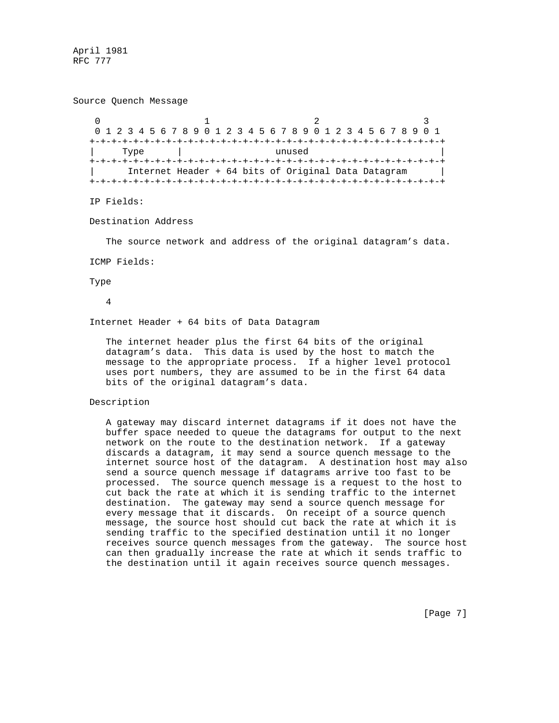Source Quench Message

| 0 1 2 3 4 5 6 7 8 9 0 1 2 3 4 5 6 7 8 9 0 1 2 3 4 5 6 7 8 9 0 1 |  |  |  |        |                                                     |  |  |  |  |
|-----------------------------------------------------------------|--|--|--|--------|-----------------------------------------------------|--|--|--|--|
|                                                                 |  |  |  |        |                                                     |  |  |  |  |
| Type                                                            |  |  |  | unused |                                                     |  |  |  |  |
|                                                                 |  |  |  |        | --+-+-+-+-+-+-+-+-+-+-+                             |  |  |  |  |
|                                                                 |  |  |  |        | Internet Header + 64 bits of Original Data Datagram |  |  |  |  |
|                                                                 |  |  |  |        |                                                     |  |  |  |  |

IP Fields:

Destination Address

The source network and address of the original datagram's data.

ICMP Fields:

Type

4

Internet Header + 64 bits of Data Datagram

 The internet header plus the first 64 bits of the original datagram's data. This data is used by the host to match the message to the appropriate process. If a higher level protocol uses port numbers, they are assumed to be in the first 64 data bits of the original datagram's data.

## Description

 A gateway may discard internet datagrams if it does not have the buffer space needed to queue the datagrams for output to the next network on the route to the destination network. If a gateway discards a datagram, it may send a source quench message to the internet source host of the datagram. A destination host may also send a source quench message if datagrams arrive too fast to be processed. The source quench message is a request to the host to cut back the rate at which it is sending traffic to the internet destination. The gateway may send a source quench message for every message that it discards. On receipt of a source quench message, the source host should cut back the rate at which it is sending traffic to the specified destination until it no longer receives source quench messages from the gateway. The source host can then gradually increase the rate at which it sends traffic to the destination until it again receives source quench messages.

[Page 7]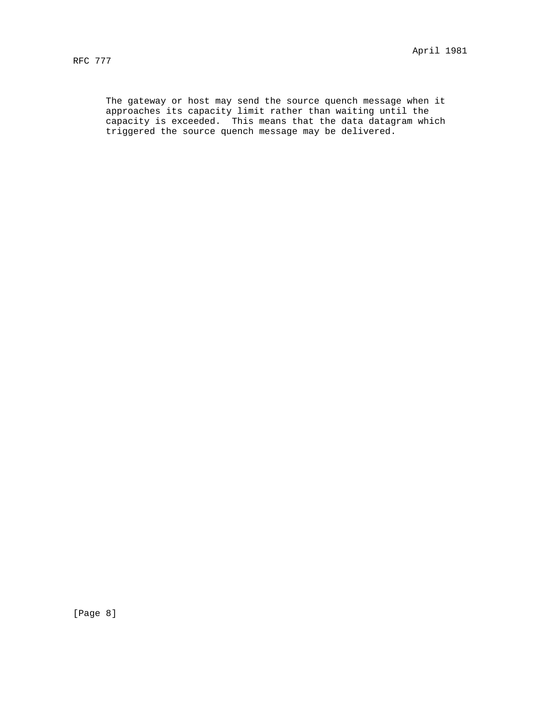The gateway or host may send the source quench message when it approaches its capacity limit rather than waiting until the capacity is exceeded. This means that the data datagram which triggered the source quench message may be delivered.

[Page 8]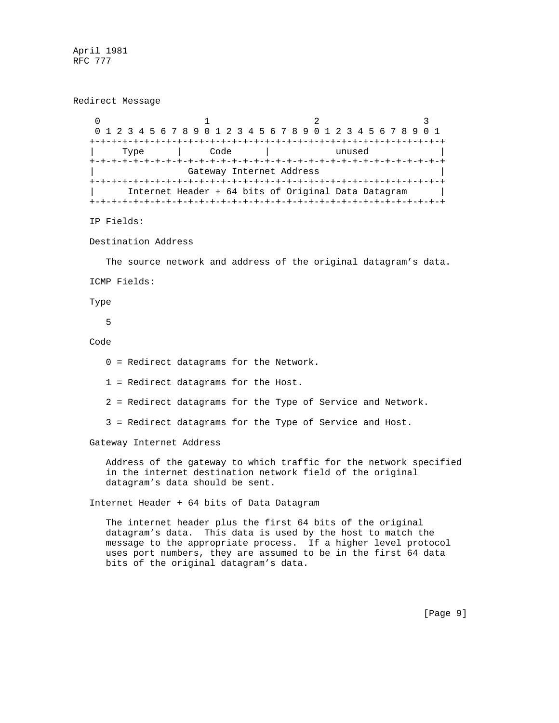Redirect Message

|                                                                 |      | 0 1 2 3 4 5 6 7 8 9 0 1 2 3 4 5 6 7 8 9 0 1 2 3 4 5 6 7 8 9 0 1 |  |  |  |  |  |  |  |
|-----------------------------------------------------------------|------|-----------------------------------------------------------------|--|--|--|--|--|--|--|
|                                                                 |      |                                                                 |  |  |  |  |  |  |  |
| Type                                                            | Code | unused                                                          |  |  |  |  |  |  |  |
| Gateway Internet Address<br>--+-+-+-+-+-+-+-+-+-+-+-+-+-+-+-+-+ |      |                                                                 |  |  |  |  |  |  |  |
|                                                                 |      | Internet Header + 64 bits of Original Data Datagram             |  |  |  |  |  |  |  |

IP Fields:

Destination Address

The source network and address of the original datagram's data. ICMP Fields:

Type

5

#### Code

- 0 = Redirect datagrams for the Network.
- 1 = Redirect datagrams for the Host.
- 2 = Redirect datagrams for the Type of Service and Network.
- 3 = Redirect datagrams for the Type of Service and Host.

Gateway Internet Address

 Address of the gateway to which traffic for the network specified in the internet destination network field of the original datagram's data should be sent.

Internet Header + 64 bits of Data Datagram

 The internet header plus the first 64 bits of the original datagram's data. This data is used by the host to match the message to the appropriate process. If a higher level protocol uses port numbers, they are assumed to be in the first 64 data bits of the original datagram's data.

[Page 9]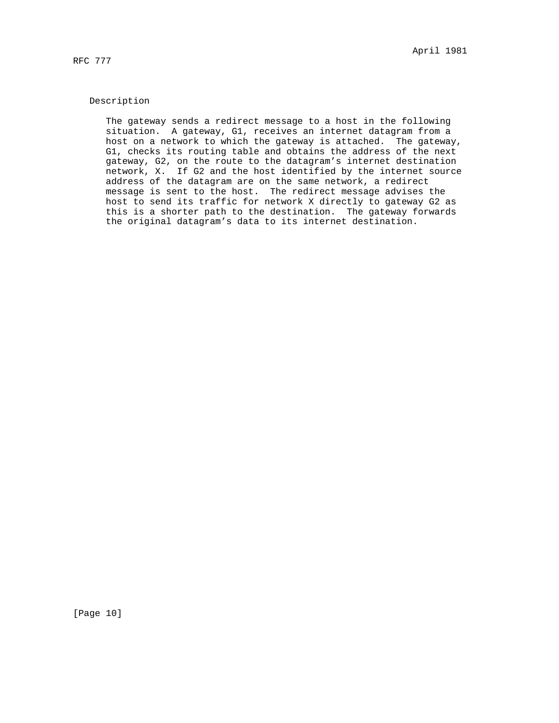## Description

 The gateway sends a redirect message to a host in the following situation. A gateway, G1, receives an internet datagram from a host on a network to which the gateway is attached. The gateway, G1, checks its routing table and obtains the address of the next gateway, G2, on the route to the datagram's internet destination network, X. If G2 and the host identified by the internet source address of the datagram are on the same network, a redirect message is sent to the host. The redirect message advises the host to send its traffic for network X directly to gateway G2 as this is a shorter path to the destination. The gateway forwards the original datagram's data to its internet destination.

[Page 10]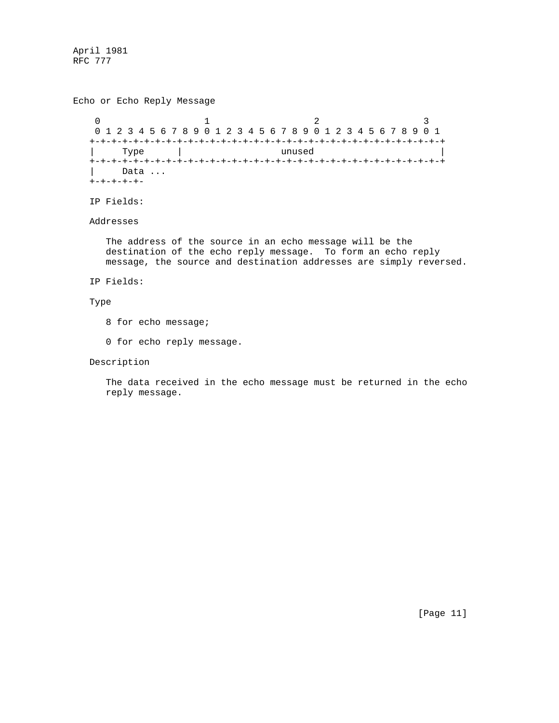Echo or Echo Reply Message

0  $1$  2 3 0 1 2 3 4 5 6 7 8 9 0 1 2 3 4 5 6 7 8 9 0 1 2 3 4 5 6 7 8 9 0 1 +-+-+-+-+-+-+-+-+-+-+-+-+-+-+-+-+-+-+-+-+-+-+-+-+-+-+-+-+-+-+-+-+ | Type | unused | +-+-+-+-+-+-+-+-+-+-+-+-+-+-+-+-+-+-+-+-+-+-+-+-+-+-+-+-+-+-+-+-+ Data ... +-+-+-+-+-

IP Fields:

Addresses

 The address of the source in an echo message will be the destination of the echo reply message. To form an echo reply message, the source and destination addresses are simply reversed.

# IP Fields:

# Type

8 for echo message;

0 for echo reply message.

Description

 The data received in the echo message must be returned in the echo reply message.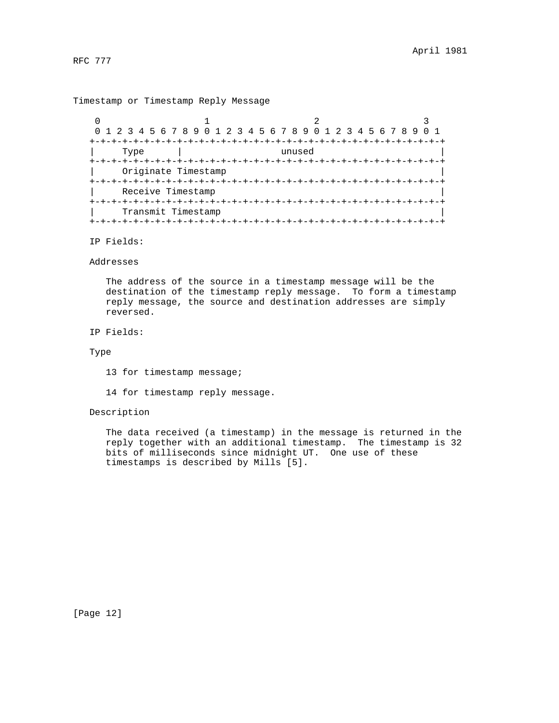Timestamp or Timestamp Reply Message

| 0 1 2 3 4 5 6 7 8 9 0 1 2 3 4 5 6 7 8 9 0 1 2 3 4 5 6 7 8 9 |        |  |  |  |  |  |  |
|-------------------------------------------------------------|--------|--|--|--|--|--|--|
|                                                             |        |  |  |  |  |  |  |
| Type                                                        | unused |  |  |  |  |  |  |
|                                                             |        |  |  |  |  |  |  |
| Originate Timestamp                                         |        |  |  |  |  |  |  |
|                                                             |        |  |  |  |  |  |  |
| Receive Timestamp                                           |        |  |  |  |  |  |  |
| +-+-+-+-+-+-+-+-+-+-+-+-+-+-+-+                             |        |  |  |  |  |  |  |
| Transmit Timestamp                                          |        |  |  |  |  |  |  |
|                                                             |        |  |  |  |  |  |  |

IP Fields:

Addresses

 The address of the source in a timestamp message will be the destination of the timestamp reply message. To form a timestamp reply message, the source and destination addresses are simply reversed.

IP Fields:

Type

13 for timestamp message;

14 for timestamp reply message.

# Description

 The data received (a timestamp) in the message is returned in the reply together with an additional timestamp. The timestamp is 32 bits of milliseconds since midnight UT. One use of these timestamps is described by Mills [5].

[Page 12]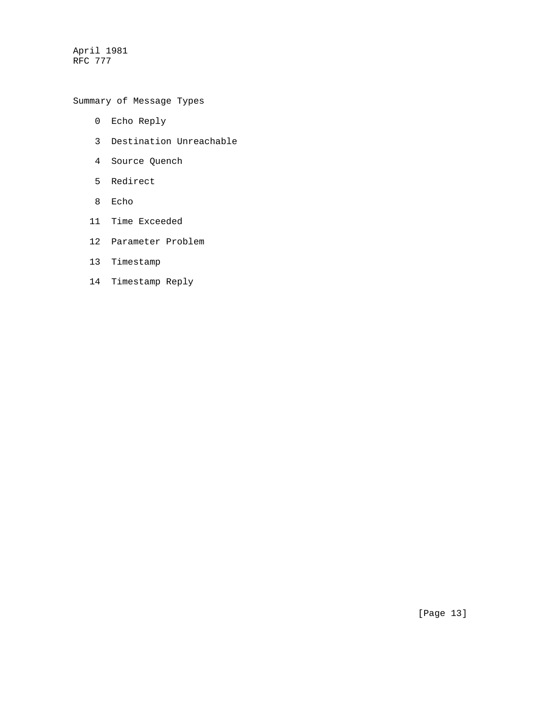Summary of Message Types

- 0 Echo Reply
- 3 Destination Unreachable
- 4 Source Quench
- 5 Redirect
- 8 Echo
- 11 Time Exceeded
- 12 Parameter Problem
- 13 Timestamp
- 14 Timestamp Reply